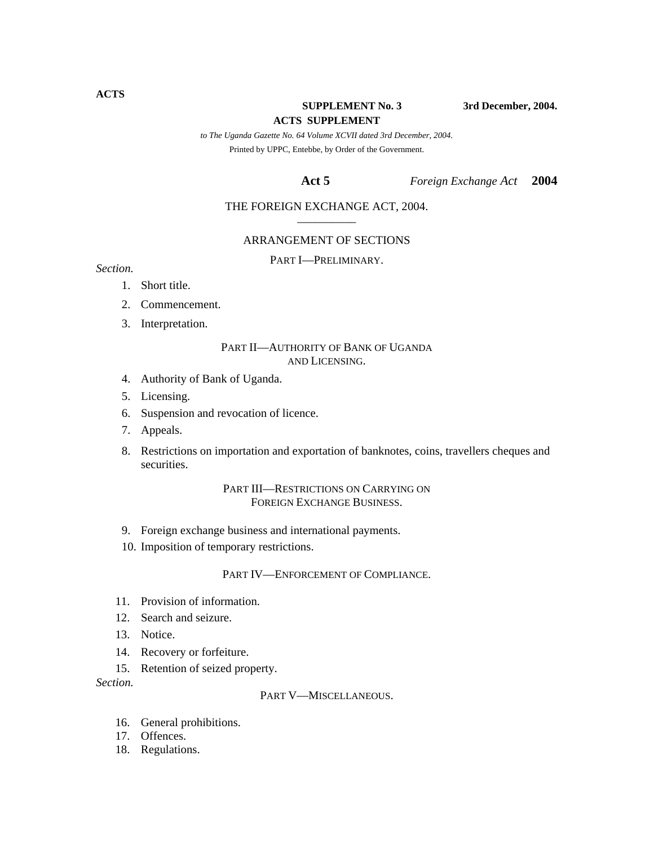**SUPPLEMENT No. 3** 3rd December, 2004.

#### **ACTS SUPPLEMENT**

*to The Uganda Gazette No. 64 Volume XCVII dated 3rd December, 2004.*  Printed by UPPC, Entebbe, by Order of the Government.

#### **Act 5** *Foreign Exchange Act* **2004**

### THE FOREIGN EXCHANGE ACT, 2004.

#### ARRANGEMENT OF SECTIONS

PART I—PRELIMINARY. *Section.* 

- 1. Short title.
- 2. Commencement.
- 3. Interpretation.

#### PART II—AUTHORITY OF BANK OF UGANDA AND LICENSING.

- 4. Authority of Bank of Uganda.
- 5. Licensing.
- 6. Suspension and revocation of licence.
- 7. Appeals.
- 8. Restrictions on importation and exportation of banknotes, coins, travellers cheques and securities.

### PART III—RESTRICTIONS ON CARRYING ON FOREIGN EXCHANGE BUSINESS.

- 9. Foreign exchange business and international payments.
- 10. Imposition of temporary restrictions.

#### PART IV—ENFORCEMENT OF COMPLIANCE.

- 11. Provision of information.
- 12. Search and seizure.
- 13. Notice.
- 14. Recovery or forfeiture.
- 15. Retention of seized property.

*Section.* 

#### PART V—MISCELLANEOUS.

- 16. General prohibitions.
- 17. Offences.
- 18. Regulations.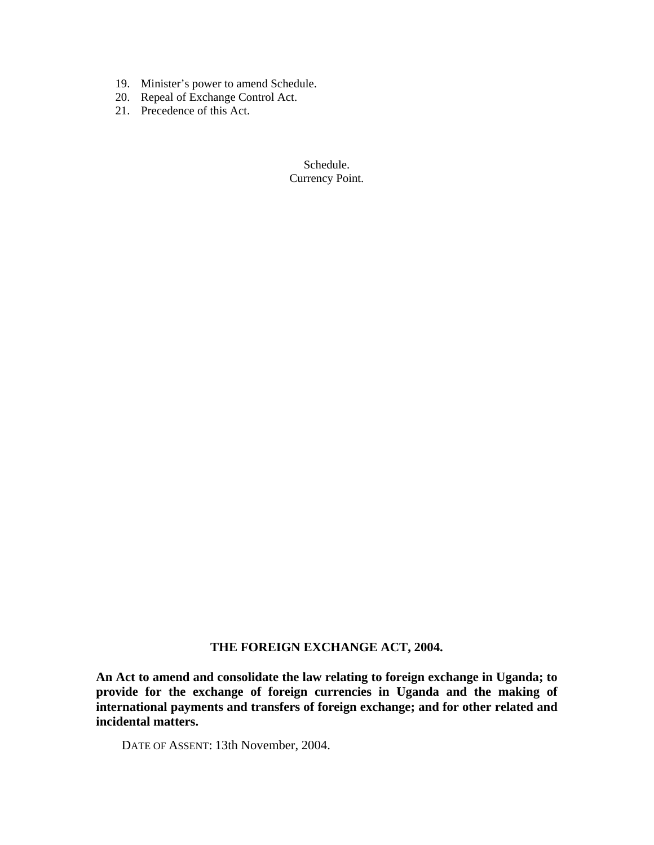- 19. Minister's power to amend Schedule.
- 20. Repeal of Exchange Control Act.
- 21. Precedence of this Act.

Schedule. Currency Point.

# **THE FOREIGN EXCHANGE ACT, 2004.**

**An Act to amend and consolidate the law relating to foreign exchange in Uganda; to provide for the exchange of foreign currencies in Uganda and the making of international payments and transfers of foreign exchange; and for other related and incidental matters.** 

DATE OF ASSENT: 13th November, 2004.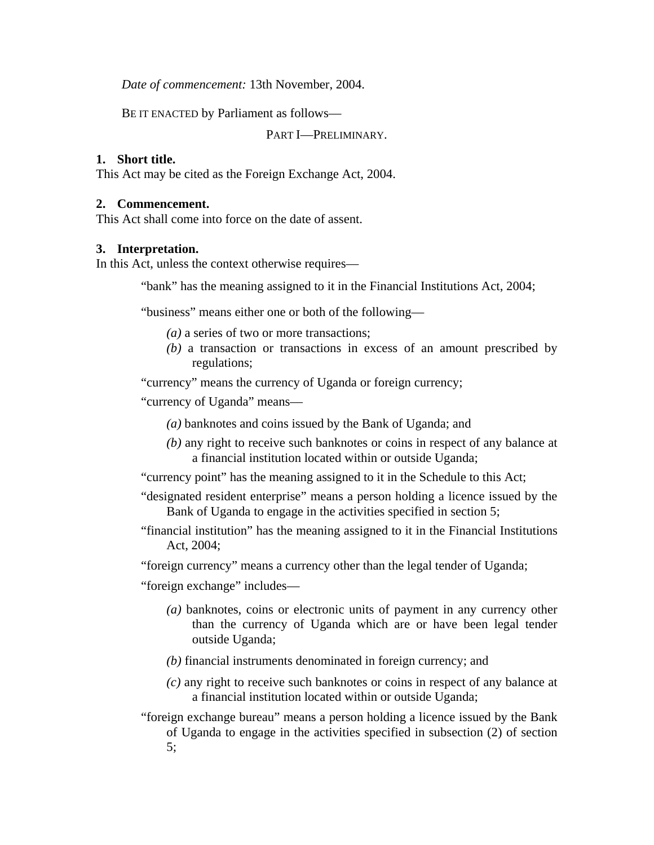*Date of commencement:* 13th November, 2004.

BE IT ENACTED by Parliament as follows—

PART I—PRELIMINARY.

# **1. Short title.**

This Act may be cited as the Foreign Exchange Act, 2004.

## **2. Commencement.**

This Act shall come into force on the date of assent.

# **3. Interpretation.**

In this Act, unless the context otherwise requires—

"bank" has the meaning assigned to it in the Financial Institutions Act, 2004;

"business" means either one or both of the following—

- *(a)* a series of two or more transactions;
- *(b)* a transaction or transactions in excess of an amount prescribed by regulations;

"currency" means the currency of Uganda or foreign currency;

"currency of Uganda" means—

- *(a)* banknotes and coins issued by the Bank of Uganda; and
- *(b)* any right to receive such banknotes or coins in respect of any balance at a financial institution located within or outside Uganda;
- "currency point" has the meaning assigned to it in the Schedule to this Act;
- "designated resident enterprise" means a person holding a licence issued by the Bank of Uganda to engage in the activities specified in section 5;
- "financial institution" has the meaning assigned to it in the Financial Institutions Act, 2004;

"foreign currency" means a currency other than the legal tender of Uganda;

"foreign exchange" includes—

- *(a)* banknotes, coins or electronic units of payment in any currency other than the currency of Uganda which are or have been legal tender outside Uganda;
- *(b)* financial instruments denominated in foreign currency; and
- *(c)* any right to receive such banknotes or coins in respect of any balance at a financial institution located within or outside Uganda;

"foreign exchange bureau" means a person holding a licence issued by the Bank of Uganda to engage in the activities specified in subsection (2) of section 5;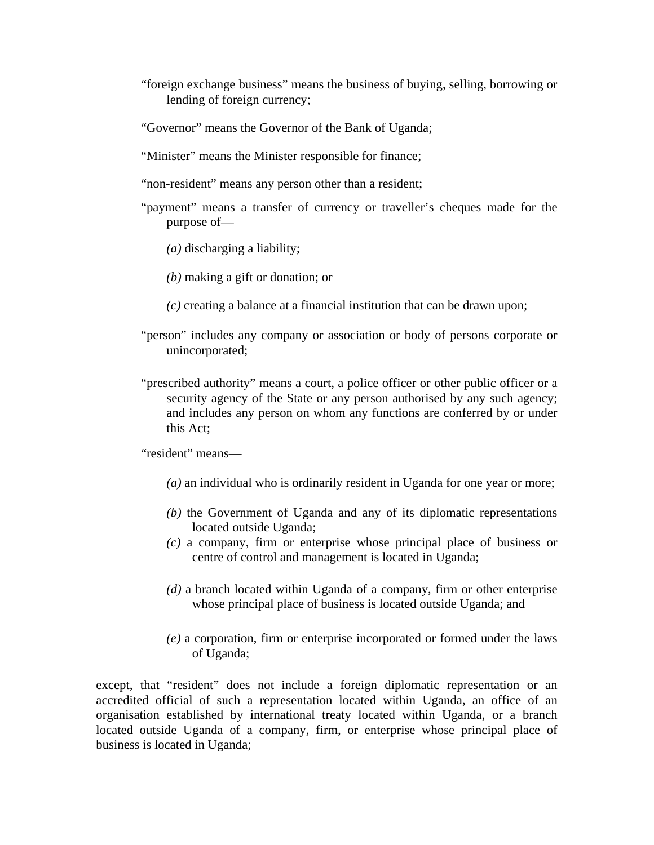- "foreign exchange business" means the business of buying, selling, borrowing or lending of foreign currency;
- "Governor" means the Governor of the Bank of Uganda;
- "Minister" means the Minister responsible for finance;
- "non-resident" means any person other than a resident;
- "payment" means a transfer of currency or traveller's cheques made for the purpose of—
	- *(a)* discharging a liability;
	- *(b)* making a gift or donation; or
	- *(c)* creating a balance at a financial institution that can be drawn upon;
- "person" includes any company or association or body of persons corporate or unincorporated;
- "prescribed authority" means a court, a police officer or other public officer or a security agency of the State or any person authorised by any such agency; and includes any person on whom any functions are conferred by or under this Act;

"resident" means—

- *(a)* an individual who is ordinarily resident in Uganda for one year or more;
- *(b)* the Government of Uganda and any of its diplomatic representations located outside Uganda;
- *(c)* a company, firm or enterprise whose principal place of business or centre of control and management is located in Uganda;
- *(d)* a branch located within Uganda of a company, firm or other enterprise whose principal place of business is located outside Uganda; and
- *(e)* a corporation, firm or enterprise incorporated or formed under the laws of Uganda;

except, that "resident" does not include a foreign diplomatic representation or an accredited official of such a representation located within Uganda, an office of an organisation established by international treaty located within Uganda, or a branch located outside Uganda of a company, firm, or enterprise whose principal place of business is located in Uganda;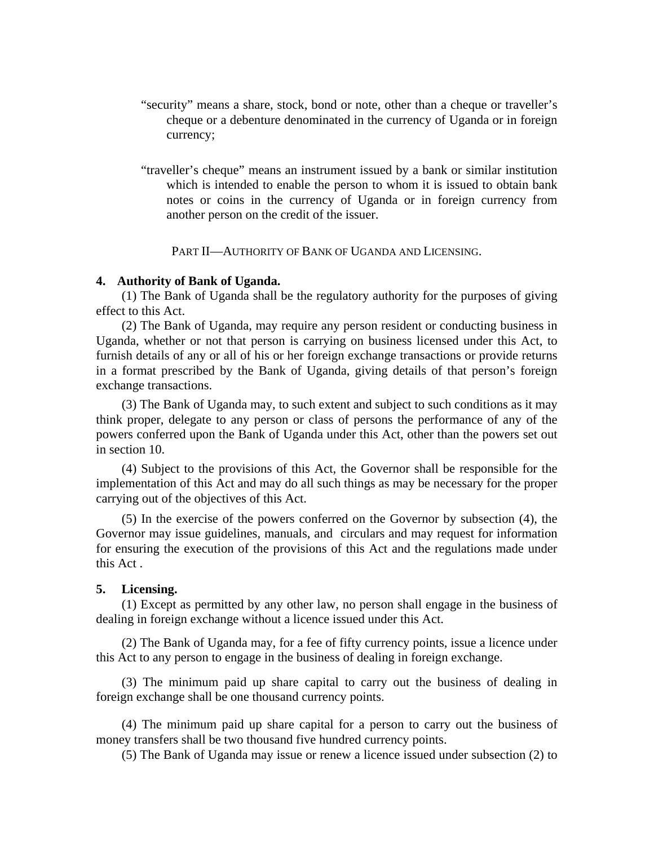- "security" means a share, stock, bond or note, other than a cheque or traveller's cheque or a debenture denominated in the currency of Uganda or in foreign currency;
- "traveller's cheque" means an instrument issued by a bank or similar institution which is intended to enable the person to whom it is issued to obtain bank notes or coins in the currency of Uganda or in foreign currency from another person on the credit of the issuer.

PART II—AUTHORITY OF BANK OF UGANDA AND LICENSING.

## **4. Authority of Bank of Uganda.**

(1) The Bank of Uganda shall be the regulatory authority for the purposes of giving effect to this Act.

(2) The Bank of Uganda, may require any person resident or conducting business in Uganda, whether or not that person is carrying on business licensed under this Act, to furnish details of any or all of his or her foreign exchange transactions or provide returns in a format prescribed by the Bank of Uganda, giving details of that person's foreign exchange transactions.

(3) The Bank of Uganda may, to such extent and subject to such conditions as it may think proper, delegate to any person or class of persons the performance of any of the powers conferred upon the Bank of Uganda under this Act, other than the powers set out in section 10.

(4) Subject to the provisions of this Act, the Governor shall be responsible for the implementation of this Act and may do all such things as may be necessary for the proper carrying out of the objectives of this Act.

(5) In the exercise of the powers conferred on the Governor by subsection (4), the Governor may issue guidelines, manuals, and circulars and may request for information for ensuring the execution of the provisions of this Act and the regulations made under this Act .

### **5. Licensing.**

(1) Except as permitted by any other law, no person shall engage in the business of dealing in foreign exchange without a licence issued under this Act.

(2) The Bank of Uganda may, for a fee of fifty currency points, issue a licence under this Act to any person to engage in the business of dealing in foreign exchange.

(3) The minimum paid up share capital to carry out the business of dealing in foreign exchange shall be one thousand currency points.

(4) The minimum paid up share capital for a person to carry out the business of money transfers shall be two thousand five hundred currency points.

(5) The Bank of Uganda may issue or renew a licence issued under subsection (2) to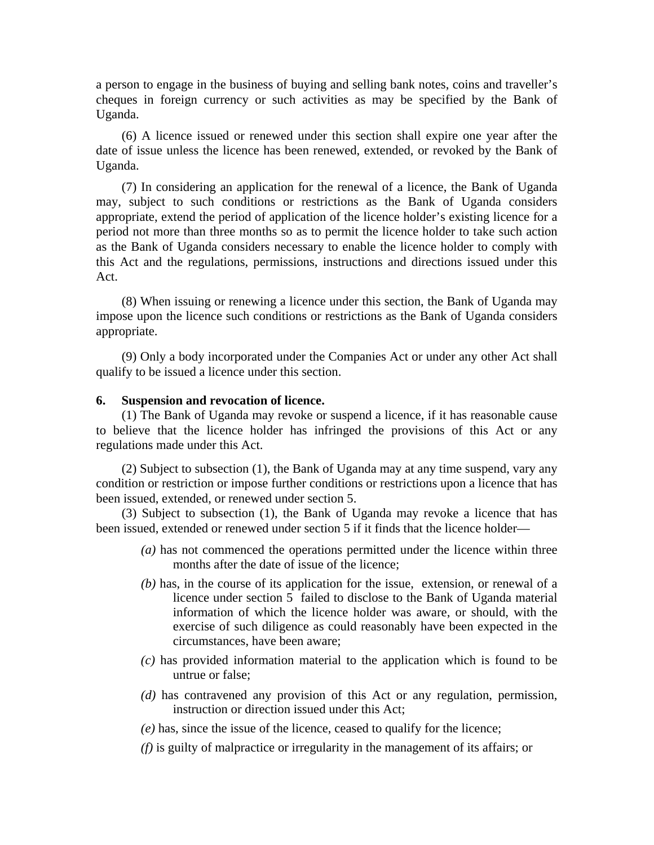a person to engage in the business of buying and selling bank notes, coins and traveller's cheques in foreign currency or such activities as may be specified by the Bank of Uganda.

(6) A licence issued or renewed under this section shall expire one year after the date of issue unless the licence has been renewed, extended, or revoked by the Bank of Uganda.

(7) In considering an application for the renewal of a licence, the Bank of Uganda may, subject to such conditions or restrictions as the Bank of Uganda considers appropriate, extend the period of application of the licence holder's existing licence for a period not more than three months so as to permit the licence holder to take such action as the Bank of Uganda considers necessary to enable the licence holder to comply with this Act and the regulations, permissions, instructions and directions issued under this Act.

(8) When issuing or renewing a licence under this section, the Bank of Uganda may impose upon the licence such conditions or restrictions as the Bank of Uganda considers appropriate.

(9) Only a body incorporated under the Companies Act or under any other Act shall qualify to be issued a licence under this section.

### **6. Suspension and revocation of licence.**

(1) The Bank of Uganda may revoke or suspend a licence, if it has reasonable cause to believe that the licence holder has infringed the provisions of this Act or any regulations made under this Act.

(2) Subject to subsection (1), the Bank of Uganda may at any time suspend, vary any condition or restriction or impose further conditions or restrictions upon a licence that has been issued, extended, or renewed under section 5.

(3) Subject to subsection (1), the Bank of Uganda may revoke a licence that has been issued, extended or renewed under section 5 if it finds that the licence holder—

- *(a)* has not commenced the operations permitted under the licence within three months after the date of issue of the licence;
- *(b)* has, in the course of its application for the issue, extension, or renewal of a licence under section 5 failed to disclose to the Bank of Uganda material information of which the licence holder was aware, or should, with the exercise of such diligence as could reasonably have been expected in the circumstances, have been aware;
- *(c)* has provided information material to the application which is found to be untrue or false;
- *(d)* has contravened any provision of this Act or any regulation, permission, instruction or direction issued under this Act;
- *(e)* has, since the issue of the licence, ceased to qualify for the licence;
- *(f)* is guilty of malpractice or irregularity in the management of its affairs; or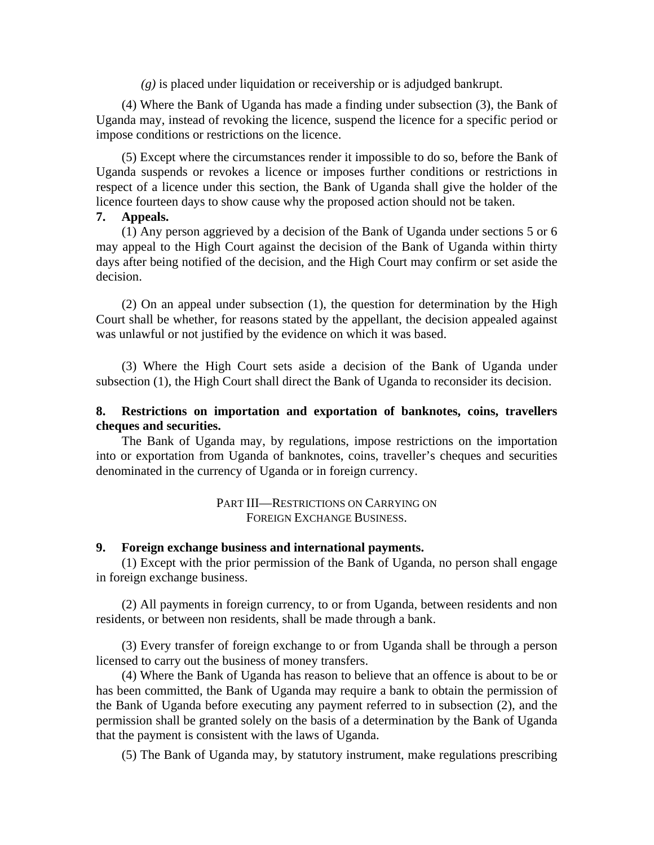*(g)* is placed under liquidation or receivership or is adjudged bankrupt.

(4) Where the Bank of Uganda has made a finding under subsection (3), the Bank of Uganda may, instead of revoking the licence, suspend the licence for a specific period or impose conditions or restrictions on the licence.

(5) Except where the circumstances render it impossible to do so, before the Bank of Uganda suspends or revokes a licence or imposes further conditions or restrictions in respect of a licence under this section, the Bank of Uganda shall give the holder of the licence fourteen days to show cause why the proposed action should not be taken.

## **7. Appeals.**

(1) Any person aggrieved by a decision of the Bank of Uganda under sections 5 or 6 may appeal to the High Court against the decision of the Bank of Uganda within thirty days after being notified of the decision, and the High Court may confirm or set aside the decision.

(2) On an appeal under subsection (1), the question for determination by the High Court shall be whether, for reasons stated by the appellant, the decision appealed against was unlawful or not justified by the evidence on which it was based.

(3) Where the High Court sets aside a decision of the Bank of Uganda under subsection (1), the High Court shall direct the Bank of Uganda to reconsider its decision.

# **8. Restrictions on importation and exportation of banknotes, coins, travellers cheques and securities.**

The Bank of Uganda may, by regulations, impose restrictions on the importation into or exportation from Uganda of banknotes, coins, traveller's cheques and securities denominated in the currency of Uganda or in foreign currency.

> PART III—RESTRICTIONS ON CARRYING ON FOREIGN EXCHANGE BUSINESS.

## **9. Foreign exchange business and international payments.**

(1) Except with the prior permission of the Bank of Uganda, no person shall engage in foreign exchange business.

(2) All payments in foreign currency, to or from Uganda, between residents and non residents, or between non residents, shall be made through a bank.

(3) Every transfer of foreign exchange to or from Uganda shall be through a person licensed to carry out the business of money transfers.

(4) Where the Bank of Uganda has reason to believe that an offence is about to be or has been committed, the Bank of Uganda may require a bank to obtain the permission of the Bank of Uganda before executing any payment referred to in subsection (2), and the permission shall be granted solely on the basis of a determination by the Bank of Uganda that the payment is consistent with the laws of Uganda.

(5) The Bank of Uganda may, by statutory instrument, make regulations prescribing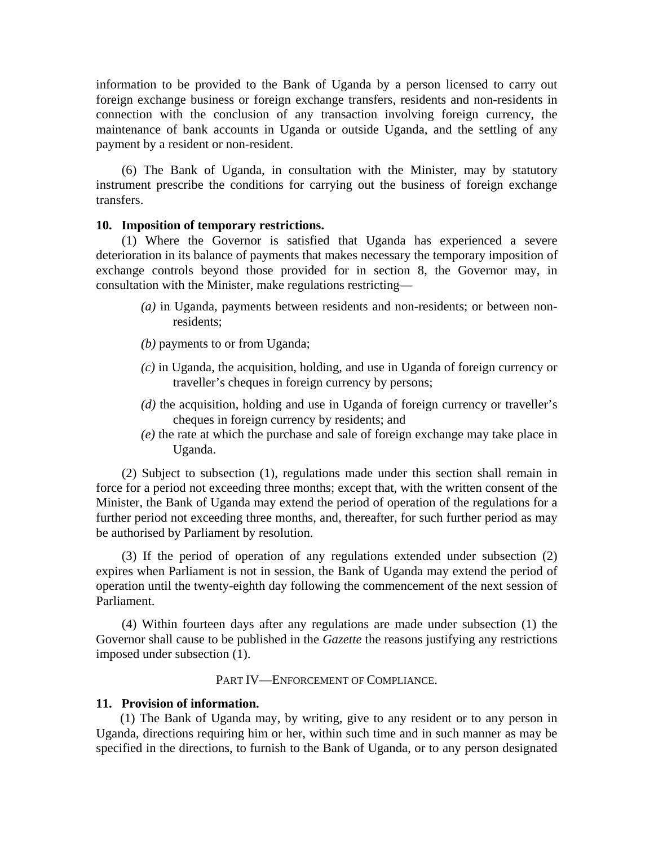information to be provided to the Bank of Uganda by a person licensed to carry out foreign exchange business or foreign exchange transfers, residents and non-residents in connection with the conclusion of any transaction involving foreign currency, the maintenance of bank accounts in Uganda or outside Uganda, and the settling of any payment by a resident or non-resident.

(6) The Bank of Uganda, in consultation with the Minister, may by statutory instrument prescribe the conditions for carrying out the business of foreign exchange transfers.

#### **10. Imposition of temporary restrictions.**

(1) Where the Governor is satisfied that Uganda has experienced a severe deterioration in its balance of payments that makes necessary the temporary imposition of exchange controls beyond those provided for in section 8, the Governor may, in consultation with the Minister, make regulations restricting—

- *(a)* in Uganda, payments between residents and non-residents; or between nonresidents;
- *(b)* payments to or from Uganda;
- *(c)* in Uganda, the acquisition, holding, and use in Uganda of foreign currency or traveller's cheques in foreign currency by persons;
- *(d)* the acquisition, holding and use in Uganda of foreign currency or traveller's cheques in foreign currency by residents; and
- *(e)* the rate at which the purchase and sale of foreign exchange may take place in Uganda.

(2) Subject to subsection (1), regulations made under this section shall remain in force for a period not exceeding three months; except that, with the written consent of the Minister, the Bank of Uganda may extend the period of operation of the regulations for a further period not exceeding three months, and, thereafter, for such further period as may be authorised by Parliament by resolution.

(3) If the period of operation of any regulations extended under subsection (2) expires when Parliament is not in session, the Bank of Uganda may extend the period of operation until the twenty-eighth day following the commencement of the next session of Parliament.

(4) Within fourteen days after any regulations are made under subsection (1) the Governor shall cause to be published in the *Gazette* the reasons justifying any restrictions imposed under subsection (1).

# PART IV—ENFORCEMENT OF COMPLIANCE.

## **11. Provision of information.**

(1) The Bank of Uganda may, by writing, give to any resident or to any person in Uganda, directions requiring him or her, within such time and in such manner as may be specified in the directions, to furnish to the Bank of Uganda, or to any person designated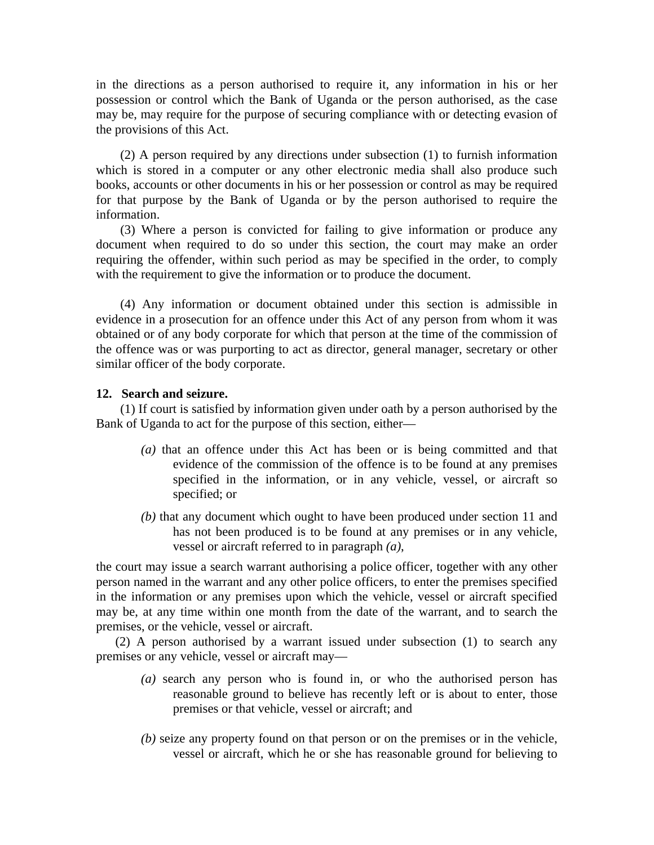in the directions as a person authorised to require it, any information in his or her possession or control which the Bank of Uganda or the person authorised, as the case may be, may require for the purpose of securing compliance with or detecting evasion of the provisions of this Act.

(2) A person required by any directions under subsection (1) to furnish information which is stored in a computer or any other electronic media shall also produce such books, accounts or other documents in his or her possession or control as may be required for that purpose by the Bank of Uganda or by the person authorised to require the information.

(3) Where a person is convicted for failing to give information or produce any document when required to do so under this section, the court may make an order requiring the offender, within such period as may be specified in the order, to comply with the requirement to give the information or to produce the document.

(4) Any information or document obtained under this section is admissible in evidence in a prosecution for an offence under this Act of any person from whom it was obtained or of any body corporate for which that person at the time of the commission of the offence was or was purporting to act as director, general manager, secretary or other similar officer of the body corporate.

## **12. Search and seizure.**

(1) If court is satisfied by information given under oath by a person authorised by the Bank of Uganda to act for the purpose of this section, either—

- *(a)* that an offence under this Act has been or is being committed and that evidence of the commission of the offence is to be found at any premises specified in the information, or in any vehicle, vessel, or aircraft so specified; or
- *(b)* that any document which ought to have been produced under section 11 and has not been produced is to be found at any premises or in any vehicle, vessel or aircraft referred to in paragraph *(a)*,

the court may issue a search warrant authorising a police officer, together with any other person named in the warrant and any other police officers, to enter the premises specified in the information or any premises upon which the vehicle, vessel or aircraft specified may be, at any time within one month from the date of the warrant, and to search the premises, or the vehicle, vessel or aircraft.

(2) A person authorised by a warrant issued under subsection (1) to search any premises or any vehicle, vessel or aircraft may—

- *(a)* search any person who is found in, or who the authorised person has reasonable ground to believe has recently left or is about to enter, those premises or that vehicle, vessel or aircraft; and
- *(b)* seize any property found on that person or on the premises or in the vehicle, vessel or aircraft, which he or she has reasonable ground for believing to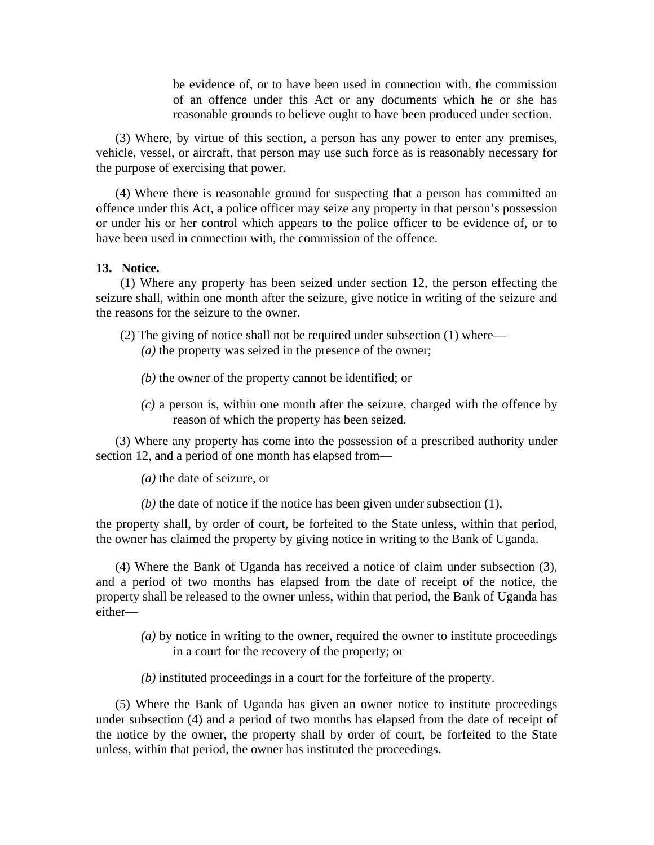be evidence of, or to have been used in connection with, the commission of an offence under this Act or any documents which he or she has reasonable grounds to believe ought to have been produced under section.

(3) Where, by virtue of this section, a person has any power to enter any premises, vehicle, vessel, or aircraft, that person may use such force as is reasonably necessary for the purpose of exercising that power.

(4) Where there is reasonable ground for suspecting that a person has committed an offence under this Act, a police officer may seize any property in that person's possession or under his or her control which appears to the police officer to be evidence of, or to have been used in connection with, the commission of the offence.

#### **13. Notice.**

(1) Where any property has been seized under section 12, the person effecting the seizure shall, within one month after the seizure, give notice in writing of the seizure and the reasons for the seizure to the owner.

- (2) The giving of notice shall not be required under subsection (1) where— *(a)* the property was seized in the presence of the owner;
	- *(b)* the owner of the property cannot be identified; or
	- *(c)* a person is, within one month after the seizure, charged with the offence by reason of which the property has been seized.

(3) Where any property has come into the possession of a prescribed authority under section 12, and a period of one month has elapsed from—

*(a)* the date of seizure, or

*(b)* the date of notice if the notice has been given under subsection (1),

the property shall, by order of court, be forfeited to the State unless, within that period, the owner has claimed the property by giving notice in writing to the Bank of Uganda.

(4) Where the Bank of Uganda has received a notice of claim under subsection (3), and a period of two months has elapsed from the date of receipt of the notice, the property shall be released to the owner unless, within that period, the Bank of Uganda has either—

- *(a)* by notice in writing to the owner, required the owner to institute proceedings in a court for the recovery of the property; or
- *(b)* instituted proceedings in a court for the forfeiture of the property.

(5) Where the Bank of Uganda has given an owner notice to institute proceedings under subsection (4) and a period of two months has elapsed from the date of receipt of the notice by the owner, the property shall by order of court, be forfeited to the State unless, within that period, the owner has instituted the proceedings.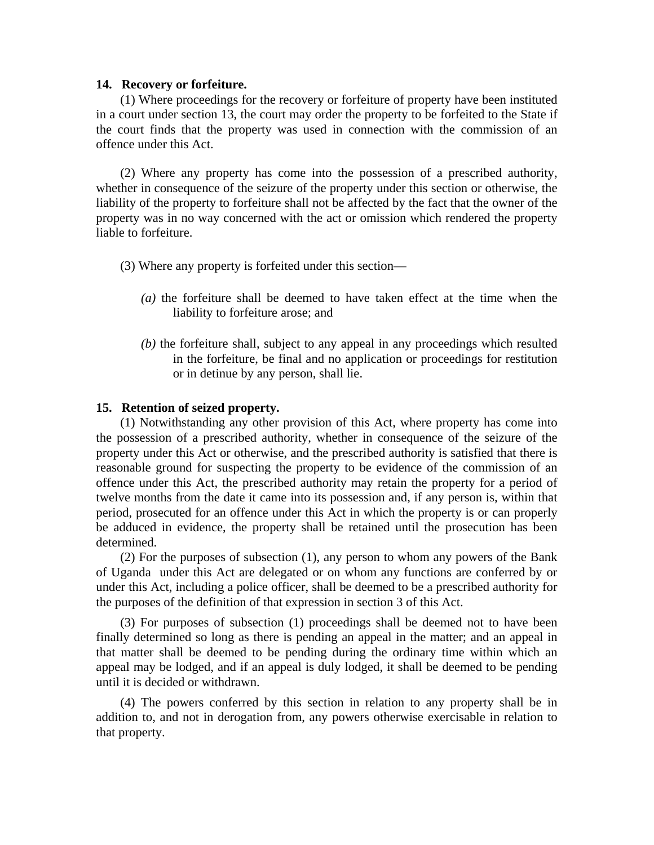#### **14. Recovery or forfeiture.**

(1) Where proceedings for the recovery or forfeiture of property have been instituted in a court under section 13, the court may order the property to be forfeited to the State if the court finds that the property was used in connection with the commission of an offence under this Act.

(2) Where any property has come into the possession of a prescribed authority, whether in consequence of the seizure of the property under this section or otherwise, the liability of the property to forfeiture shall not be affected by the fact that the owner of the property was in no way concerned with the act or omission which rendered the property liable to forfeiture.

- (3) Where any property is forfeited under this section—
	- *(a)* the forfeiture shall be deemed to have taken effect at the time when the liability to forfeiture arose; and
	- *(b)* the forfeiture shall, subject to any appeal in any proceedings which resulted in the forfeiture, be final and no application or proceedings for restitution or in detinue by any person, shall lie.

#### **15. Retention of seized property.**

(1) Notwithstanding any other provision of this Act, where property has come into the possession of a prescribed authority, whether in consequence of the seizure of the property under this Act or otherwise, and the prescribed authority is satisfied that there is reasonable ground for suspecting the property to be evidence of the commission of an offence under this Act, the prescribed authority may retain the property for a period of twelve months from the date it came into its possession and, if any person is, within that period, prosecuted for an offence under this Act in which the property is or can properly be adduced in evidence, the property shall be retained until the prosecution has been determined.

(2) For the purposes of subsection (1), any person to whom any powers of the Bank of Uganda under this Act are delegated or on whom any functions are conferred by or under this Act, including a police officer, shall be deemed to be a prescribed authority for the purposes of the definition of that expression in section 3 of this Act.

(3) For purposes of subsection (1) proceedings shall be deemed not to have been finally determined so long as there is pending an appeal in the matter; and an appeal in that matter shall be deemed to be pending during the ordinary time within which an appeal may be lodged, and if an appeal is duly lodged, it shall be deemed to be pending until it is decided or withdrawn.

(4) The powers conferred by this section in relation to any property shall be in addition to, and not in derogation from, any powers otherwise exercisable in relation to that property.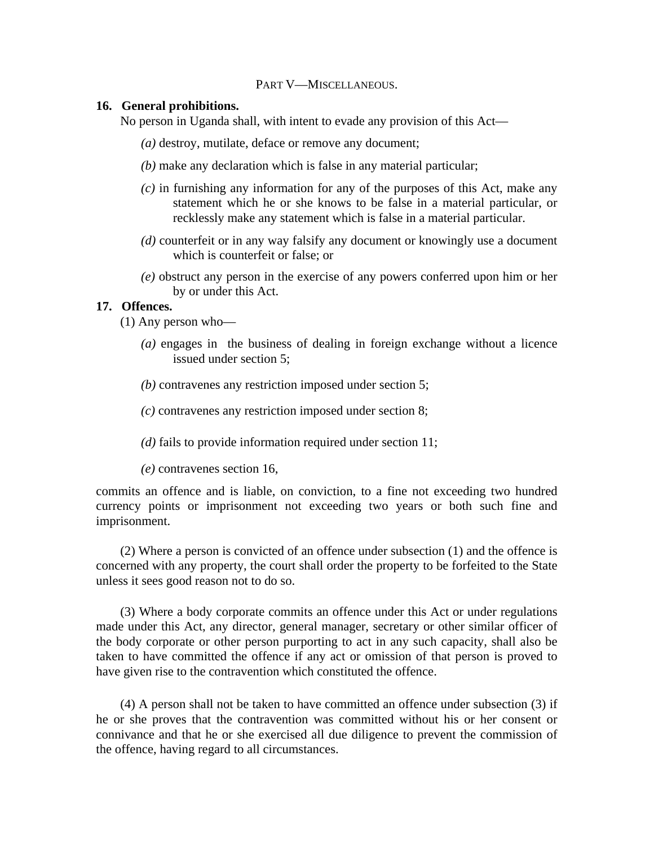#### PART V—MISCELLANEOUS.

### **16. General prohibitions.**

No person in Uganda shall, with intent to evade any provision of this Act—

- *(a)* destroy, mutilate, deface or remove any document;
- *(b)* make any declaration which is false in any material particular;
- *(c)* in furnishing any information for any of the purposes of this Act, make any statement which he or she knows to be false in a material particular, or recklessly make any statement which is false in a material particular.
- *(d)* counterfeit or in any way falsify any document or knowingly use a document which is counterfeit or false; or
- *(e)* obstruct any person in the exercise of any powers conferred upon him or her by or under this Act.

# **17. Offences.**

(1) Any person who—

- *(a)* engages in the business of dealing in foreign exchange without a licence issued under section 5;
- *(b)* contravenes any restriction imposed under section 5;
- *(c)* contravenes any restriction imposed under section 8;
- *(d)* fails to provide information required under section 11;
- *(e)* contravenes section 16,

commits an offence and is liable, on conviction, to a fine not exceeding two hundred currency points or imprisonment not exceeding two years or both such fine and imprisonment.

(2) Where a person is convicted of an offence under subsection (1) and the offence is concerned with any property, the court shall order the property to be forfeited to the State unless it sees good reason not to do so.

(3) Where a body corporate commits an offence under this Act or under regulations made under this Act, any director, general manager, secretary or other similar officer of the body corporate or other person purporting to act in any such capacity, shall also be taken to have committed the offence if any act or omission of that person is proved to have given rise to the contravention which constituted the offence.

(4) A person shall not be taken to have committed an offence under subsection (3) if he or she proves that the contravention was committed without his or her consent or connivance and that he or she exercised all due diligence to prevent the commission of the offence, having regard to all circumstances.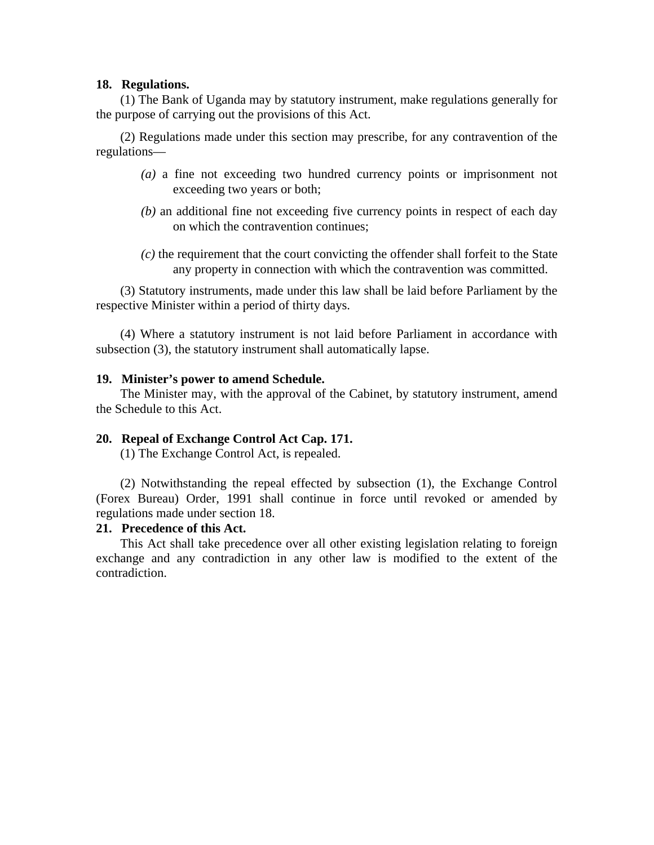## **18. Regulations.**

(1) The Bank of Uganda may by statutory instrument, make regulations generally for the purpose of carrying out the provisions of this Act.

(2) Regulations made under this section may prescribe, for any contravention of the regulations—

- *(a)* a fine not exceeding two hundred currency points or imprisonment not exceeding two years or both;
- *(b)* an additional fine not exceeding five currency points in respect of each day on which the contravention continues;
- *(c)* the requirement that the court convicting the offender shall forfeit to the State any property in connection with which the contravention was committed.

(3) Statutory instruments, made under this law shall be laid before Parliament by the respective Minister within a period of thirty days.

(4) Where a statutory instrument is not laid before Parliament in accordance with subsection (3), the statutory instrument shall automatically lapse.

## **19. Minister's power to amend Schedule.**

The Minister may, with the approval of the Cabinet, by statutory instrument, amend the Schedule to this Act.

# **20. Repeal of Exchange Control Act Cap. 171.**

(1) The Exchange Control Act, is repealed.

(2) Notwithstanding the repeal effected by subsection (1), the Exchange Control (Forex Bureau) Order, 1991 shall continue in force until revoked or amended by regulations made under section 18.

# **21. Precedence of this Act.**

This Act shall take precedence over all other existing legislation relating to foreign exchange and any contradiction in any other law is modified to the extent of the contradiction.